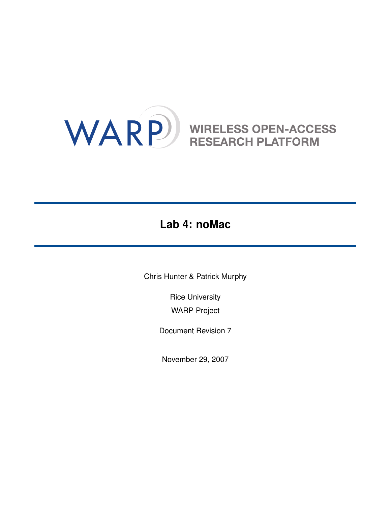# WARP WIRELESS OPEN-ACCESS

## **Lab 4: noMac**

Chris Hunter & Patrick Murphy

Rice University WARP Project

Document Revision 7

November 29, 2007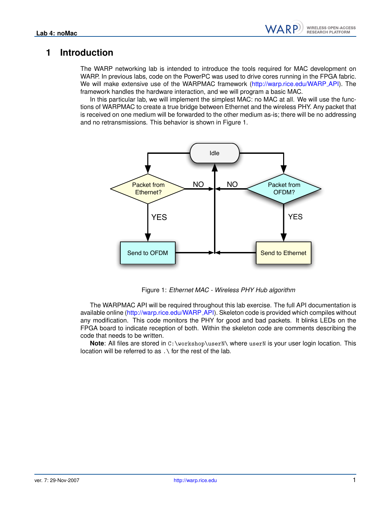WARP

#### **1 Introduction**

The WARP networking lab is intended to introduce the tools required for MAC development on WARP. In previous labs, code on the PowerPC was used to drive cores running in the FPGA fabric. We will make extensive use of the WARPMAC framework [\(http://warp.rice.edu/WARP](http://warp.rice.edu/WARP_API/files.html)\_API). The framework handles the hardware interaction, and we will program a basic MAC.

In this particular lab, we will implement the simplest MAC: no MAC at all. We will use the functions of WARPMAC to create a true bridge between Ethernet and the wireless PHY. Any packet that is received on one medium will be forwarded to the other medium as-is; there will be no addressing and no retransmissions. This behavior is shown in Figure [1.](#page-1-0)



<span id="page-1-0"></span>Figure 1: *Ethernet MAC - Wireless PHY Hub algorithm*

The WARPMAC API will be required throughout this lab exercise. The full API documentation is available online [\(http://warp.rice.edu/WARP](http://warp.rice.edu/WARP_API/files.html)\_API). Skeleton code is provided which compiles without any modification. This code monitors the PHY for good and bad packets. It blinks LEDs on the FPGA board to indicate reception of both. Within the skeleton code are comments describing the code that needs to be written.

**Note**: All files are stored in C:\workshop\userN\ where userN is your user login location. This location will be referred to as .\ for the rest of the lab.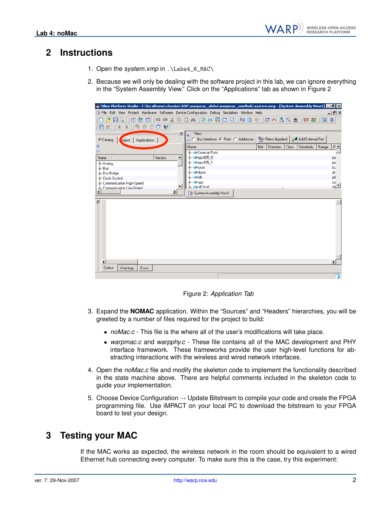#### **2 Instructions**

- 1. Open the *system.xmp* in .\Labs4\_6\_MAC\
- 2. Because we will only be dealing with the software project in this lab, we can ignore everything in the "System Assembly View." Click on the "Applications" tab as shown in Figure [2](#page-2-0)

| S Xilinx Platform Studio - C:\localhome\chunter\EDK\warpmac_aloha\warpmac_enethub\system.xmp - [System Assembly View1] - [5   X                                                                                                                                                                                                                                                                                                                                                                       |                                                              |                         |                                            |                 |
|-------------------------------------------------------------------------------------------------------------------------------------------------------------------------------------------------------------------------------------------------------------------------------------------------------------------------------------------------------------------------------------------------------------------------------------------------------------------------------------------------------|--------------------------------------------------------------|-------------------------|--------------------------------------------|-----------------|
| The File Edit View Project Hardware Software Device Configuration Debug Simulation Window Help                                                                                                                                                                                                                                                                                                                                                                                                        |                                                              |                         |                                            | $   \mathbb{Z}$ |
| e &<br>$\mathcal{B}$                                                                                                                                                                                                                                                                                                                                                                                                                                                                                  | もちず  つ ~ X も B A    2 r 5 D B    3 B ※    5 r △ B ☆    # # # |                         | 図                                          | 涨               |
| $\mathfrak{D} \otimes \mathfrak{D} \otimes \mathfrak{D} \otimes \mathfrak{D} \otimes \mathfrak{D} \otimes \mathfrak{D} \otimes \mathfrak{D} \otimes \mathfrak{D} \otimes \mathfrak{D} \otimes \mathfrak{D} \otimes \mathfrak{D} \otimes \mathfrak{D} \otimes \mathfrak{D} \otimes \mathfrak{D} \otimes \mathfrak{D} \otimes \mathfrak{D} \otimes \mathfrak{D} \otimes \mathfrak{D} \otimes \mathfrak{D} \otimes \mathfrak{D} \otimes \mathfrak{D} \otimes \mathfrak{D} \otimes$<br>唇<br>凹<br>$\Sigma$ |                                                              |                         |                                            |                 |
| ⊥×l                                                                                                                                                                                                                                                                                                                                                                                                                                                                                                   | Filters                                                      |                         |                                            |                 |
| IP Catalog<br>roject<br>Applications                                                                                                                                                                                                                                                                                                                                                                                                                                                                  | C Bus Interface C Ports C Addresses                          |                         | 일 Filters (Applied)   공부 Add External Port |                 |
|                                                                                                                                                                                                                                                                                                                                                                                                                                                                                                       | Name                                                         | Net<br><b>Direction</b> | Sensitivity<br>Range<br>Class              | $IF_$           |
|                                                                                                                                                                                                                                                                                                                                                                                                                                                                                                       | <b>Fi- External Ports</b>                                    |                         |                                            |                 |
| Version<br>Name<br>y.                                                                                                                                                                                                                                                                                                                                                                                                                                                                                 | 由 → ppc405 0                                                 |                         |                                            | PP              |
| 由-Analog                                                                                                                                                                                                                                                                                                                                                                                                                                                                                              | 由 → ppc405_1                                                 |                         |                                            | <b>PP</b>       |
| <b>E</b> ⊢Bus                                                                                                                                                                                                                                                                                                                                                                                                                                                                                         | <b>E</b> • iocm<br>Ė⊢⊷docm                                   |                         |                                            | isc<br>ds       |
| 由-Bus Bridge<br>E- Clock Control                                                                                                                                                                                                                                                                                                                                                                                                                                                                      | ∄⊹⇔plb                                                       |                         |                                            | plt             |
| 中-Communication High-Speed                                                                                                                                                                                                                                                                                                                                                                                                                                                                            | ∄ ⊸opb                                                       |                         |                                            | $\frac{op}{n!}$ |
| Fe-Communication Low-Speed                                                                                                                                                                                                                                                                                                                                                                                                                                                                            | <b>E</b> . Onlh2onh                                          |                         |                                            |                 |
|                                                                                                                                                                                                                                                                                                                                                                                                                                                                                                       | [dp System Assembly View1                                    |                         |                                            |                 |
| $\mathbf{x}$                                                                                                                                                                                                                                                                                                                                                                                                                                                                                          |                                                              |                         |                                            |                 |
|                                                                                                                                                                                                                                                                                                                                                                                                                                                                                                       |                                                              |                         |                                            |                 |
|                                                                                                                                                                                                                                                                                                                                                                                                                                                                                                       |                                                              |                         |                                            |                 |
|                                                                                                                                                                                                                                                                                                                                                                                                                                                                                                       |                                                              |                         |                                            |                 |
|                                                                                                                                                                                                                                                                                                                                                                                                                                                                                                       |                                                              |                         |                                            |                 |
|                                                                                                                                                                                                                                                                                                                                                                                                                                                                                                       |                                                              |                         |                                            |                 |
|                                                                                                                                                                                                                                                                                                                                                                                                                                                                                                       |                                                              |                         |                                            |                 |
|                                                                                                                                                                                                                                                                                                                                                                                                                                                                                                       |                                                              |                         |                                            |                 |
|                                                                                                                                                                                                                                                                                                                                                                                                                                                                                                       |                                                              |                         |                                            |                 |
|                                                                                                                                                                                                                                                                                                                                                                                                                                                                                                       |                                                              |                         |                                            |                 |
| $\blacktriangleleft$                                                                                                                                                                                                                                                                                                                                                                                                                                                                                  |                                                              |                         |                                            | ¥               |
| <b>Output</b><br>Warnings<br>Errors                                                                                                                                                                                                                                                                                                                                                                                                                                                                   |                                                              |                         |                                            |                 |
|                                                                                                                                                                                                                                                                                                                                                                                                                                                                                                       |                                                              |                         |                                            |                 |

<span id="page-2-0"></span>Figure 2: *Application Tab*

- 3. Expand the **NOMAC** application. Within the "Sources" and "Headers" hierarchies, you will be greeted by a number of files required for the project to build:
	- *noMac.c* This file is the where all of the user's modifications will take place.
	- *warpmac.c* and *warpphy.c* These file contains all of the MAC development and PHY interface framework. These frameworks provide the user high-level functions for abstracting interactions with the wireless and wired network interfaces.
- 4. Open the *noMac.c* file and modify the skeleton code to implement the functionality described in the state machine above. There are helpful comments included in the skeleton code to guide your implementation.
- 5. Choose Device Configuration  $\rightarrow$  Update Bitstream to compile your code and create the FPGA programming file. Use iMPACT on your local PC to download the bitstream to your FPGA board to test your design.

### **3 Testing your MAC**

If the MAC works as expected, the wireless network in the room should be equivalent to a wired Ethernet hub connecting every computer. To make sure this is the case, try this experiment: